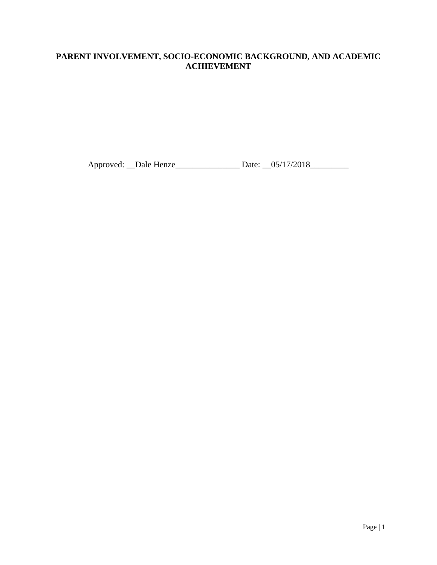## **PARENT INVOLVEMENT, SOCIO-ECONOMIC BACKGROUND, AND ACADEMIC ACHIEVEMENT**

Approved: \_\_Dale Henze\_\_\_\_\_\_\_\_\_\_\_\_\_\_\_ Date: \_\_05/17/2018\_\_\_\_\_\_\_\_\_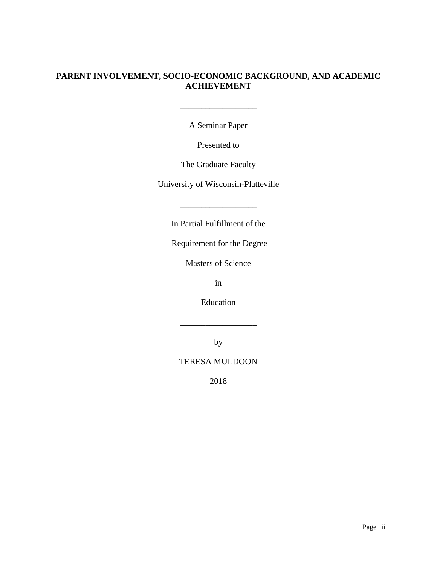## **PARENT INVOLVEMENT, SOCIO-ECONOMIC BACKGROUND, AND ACADEMIC ACHIEVEMENT**

A Seminar Paper

Presented to

The Graduate Faculty

University of Wisconsin-Platteville

In Partial Fulfillment of the

\_\_\_\_\_\_\_\_\_\_\_\_\_\_\_\_\_\_

Requirement for the Degree

Masters of Science

in

Education

\_\_\_\_\_\_\_\_\_\_\_\_\_\_\_\_\_\_

by

## TERESA MULDOON

2018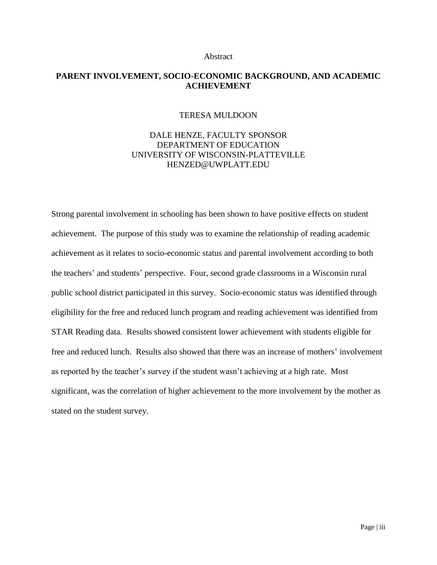#### Abstract

## **PARENT INVOLVEMENT, SOCIO-ECONOMIC BACKGROUND, AND ACADEMIC ACHIEVEMENT**

#### TERESA MULDOON

## DALE HENZE, FACULTY SPONSOR DEPARTMENT OF EDUCATION UNIVERSITY OF WISCONSIN-PLATTEVILLE HENZED@UWPLATT.EDU

Strong parental involvement in schooling has been shown to have positive effects on student achievement. The purpose of this study was to examine the relationship of reading academic achievement as it relates to socio-economic status and parental involvement according to both the teachers' and students' perspective. Four, second grade classrooms in a Wisconsin rural public school district participated in this survey. Socio-economic status was identified through eligibility for the free and reduced lunch program and reading achievement was identified from STAR Reading data. Results showed consistent lower achievement with students eligible for free and reduced lunch. Results also showed that there was an increase of mothers' involvement as reported by the teacher's survey if the student wasn't achieving at a high rate. Most significant, was the correlation of higher achievement to the more involvement by the mother as stated on the student survey.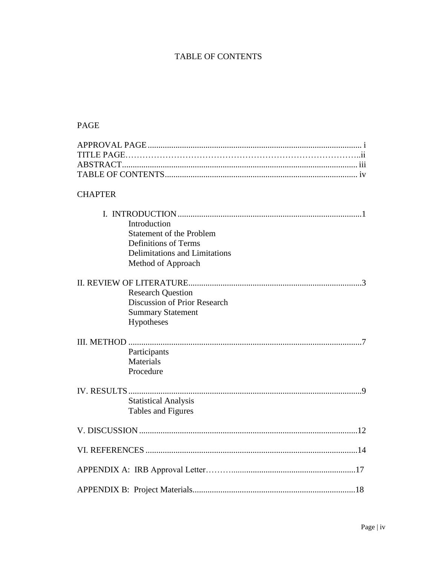# TABLE OF CONTENTS

# PAGE

| <b>CHAPTER</b> |                                                          |
|----------------|----------------------------------------------------------|
|                |                                                          |
|                | Introduction                                             |
|                | <b>Statement of the Problem</b>                          |
|                | <b>Definitions of Terms</b>                              |
|                | Delimitations and Limitations                            |
|                | Method of Approach                                       |
|                |                                                          |
|                | <b>Research Question</b><br>Discussion of Prior Research |
|                | <b>Summary Statement</b>                                 |
|                | Hypotheses                                               |
|                |                                                          |
|                |                                                          |
|                | Participants                                             |
|                | <b>Materials</b>                                         |
|                | Procedure                                                |
|                |                                                          |
|                |                                                          |
|                | <b>Statistical Analysis</b>                              |
|                | Tables and Figures                                       |
|                |                                                          |
|                |                                                          |
|                |                                                          |
|                |                                                          |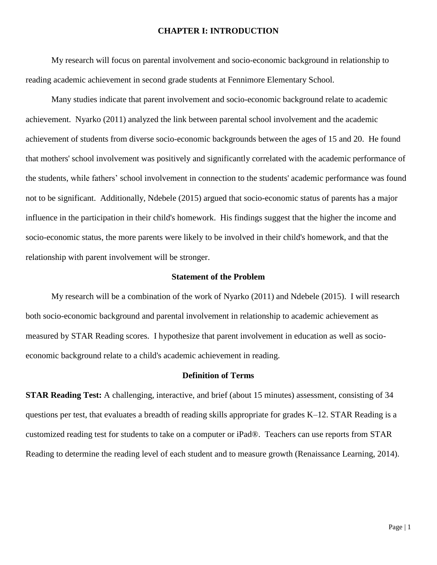#### **CHAPTER I: INTRODUCTION**

My research will focus on parental involvement and socio-economic background in relationship to reading academic achievement in second grade students at Fennimore Elementary School.

Many studies indicate that parent involvement and socio-economic background relate to academic achievement. Nyarko (2011) analyzed the link between parental school involvement and the academic achievement of students from diverse socio-economic backgrounds between the ages of 15 and 20. He found that mothers' school involvement was positively and significantly correlated with the academic performance of the students, while fathers' school involvement in connection to the students' academic performance was found not to be significant. Additionally, Ndebele (2015) argued that socio-economic status of parents has a major influence in the participation in their child's homework. His findings suggest that the higher the income and socio-economic status, the more parents were likely to be involved in their child's homework, and that the relationship with parent involvement will be stronger.

#### **Statement of the Problem**

My research will be a combination of the work of Nyarko (2011) and Ndebele (2015). I will research both socio-economic background and parental involvement in relationship to academic achievement as measured by STAR Reading scores. I hypothesize that parent involvement in education as well as socioeconomic background relate to a child's academic achievement in reading.

#### **Definition of Terms**

**STAR Reading Test:** A challenging, interactive, and brief (about 15 minutes) assessment, consisting of 34 questions per test, that evaluates a breadth of reading skills appropriate for grades K–12. STAR Reading is a customized reading test for students to take on a computer or iPad®. Teachers can use reports from STAR Reading to determine the reading level of each student and to measure growth (Renaissance Learning, 2014).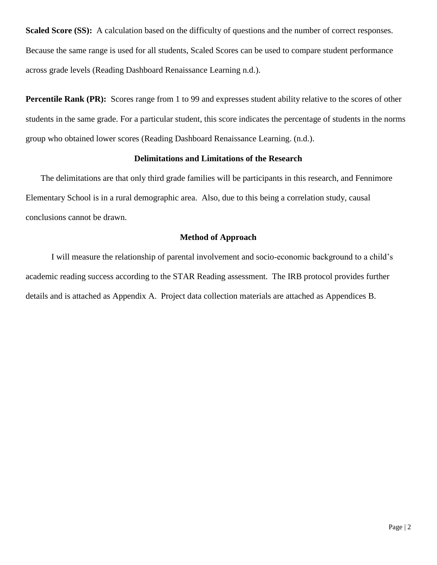**Scaled Score (SS):** A calculation based on the difficulty of questions and the number of correct responses. Because the same range is used for all students, Scaled Scores can be used to compare student performance across grade levels (Reading Dashboard Renaissance Learning n.d.).

**Percentile Rank (PR):** Scores range from 1 to 99 and expresses student ability relative to the scores of other students in the same grade. For a particular student, this score indicates the percentage of students in the norms group who obtained lower scores (Reading Dashboard Renaissance Learning. (n.d.).

### **Delimitations and Limitations of the Research**

The delimitations are that only third grade families will be participants in this research, and Fennimore Elementary School is in a rural demographic area. Also, due to this being a correlation study, causal conclusions cannot be drawn.

### **Method of Approach**

I will measure the relationship of parental involvement and socio-economic background to a child's academic reading success according to the STAR Reading assessment. The IRB protocol provides further details and is attached as Appendix A. Project data collection materials are attached as Appendices B.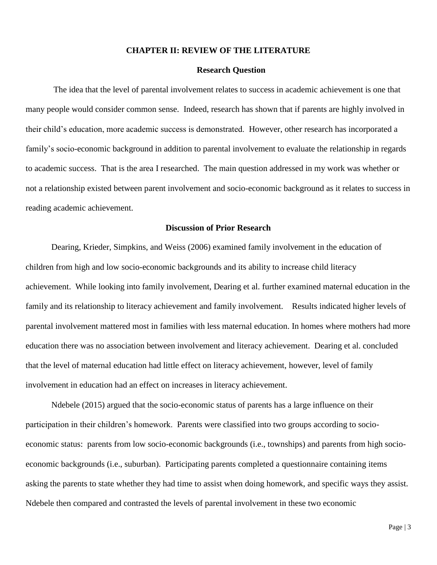#### **CHAPTER II: REVIEW OF THE LITERATURE**

## **Research Question**

The idea that the level of parental involvement relates to success in academic achievement is one that many people would consider common sense. Indeed, research has shown that if parents are highly involved in their child's education, more academic success is demonstrated. However, other research has incorporated a family's socio-economic background in addition to parental involvement to evaluate the relationship in regards to academic success. That is the area I researched. The main question addressed in my work was whether or not a relationship existed between parent involvement and socio-economic background as it relates to success in reading academic achievement.

### **Discussion of Prior Research**

Dearing, Krieder, Simpkins, and Weiss (2006) examined family involvement in the education of children from high and low socio-economic backgrounds and its ability to increase child literacy achievement. While looking into family involvement, Dearing et al. further examined maternal education in the family and its relationship to literacy achievement and family involvement. Results indicated higher levels of parental involvement mattered most in families with less maternal education. In homes where mothers had more education there was no association between involvement and literacy achievement. Dearing et al. concluded that the level of maternal education had little effect on literacy achievement, however, level of family involvement in education had an effect on increases in literacy achievement.

Ndebele (2015) argued that the socio-economic status of parents has a large influence on their participation in their children's homework. Parents were classified into two groups according to socioeconomic status: parents from low socio-economic backgrounds (i.e., townships) and parents from high socioeconomic backgrounds (i.e., suburban). Participating parents completed a questionnaire containing items asking the parents to state whether they had time to assist when doing homework, and specific ways they assist. Ndebele then compared and contrasted the levels of parental involvement in these two economic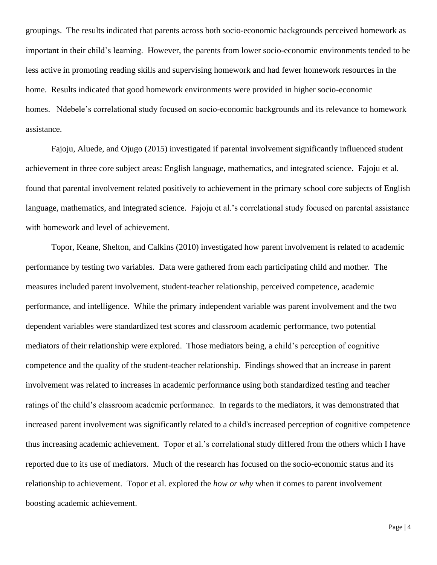groupings. The results indicated that parents across both socio-economic backgrounds perceived homework as important in their child's learning. However, the parents from lower socio-economic environments tended to be less active in promoting reading skills and supervising homework and had fewer homework resources in the home. Results indicated that good homework environments were provided in higher socio-economic homes. Ndebele's correlational study focused on socio-economic backgrounds and its relevance to homework assistance.

Fajoju, Aluede, and Ojugo (2015) investigated if parental involvement significantly influenced student achievement in three core subject areas: English language, mathematics, and integrated science. Fajoju et al. found that parental involvement related positively to achievement in the primary school core subjects of English language, mathematics, and integrated science. Fajoju et al.'s correlational study focused on parental assistance with homework and level of achievement.

Topor, Keane, Shelton, and Calkins (2010) investigated how parent involvement is related to academic performance by testing two variables. Data were gathered from each participating child and mother. The measures included parent involvement, student-teacher relationship, perceived competence, academic performance, and intelligence. While the primary independent variable was parent involvement and the two dependent variables were standardized test scores and classroom academic performance, two potential mediators of their relationship were explored. Those mediators being, a child's perception of cognitive competence and the quality of the student-teacher relationship. Findings showed that an increase in parent involvement was related to increases in academic performance using both standardized testing and teacher ratings of the child's classroom academic performance. In regards to the mediators, it was demonstrated that increased parent involvement was significantly related to a child's increased perception of cognitive competence thus increasing academic achievement. Topor et al.'s correlational study differed from the others which I have reported due to its use of mediators. Much of the research has focused on the socio-economic status and its relationship to achievement. Topor et al. explored the *how or why* when it comes to parent involvement boosting academic achievement.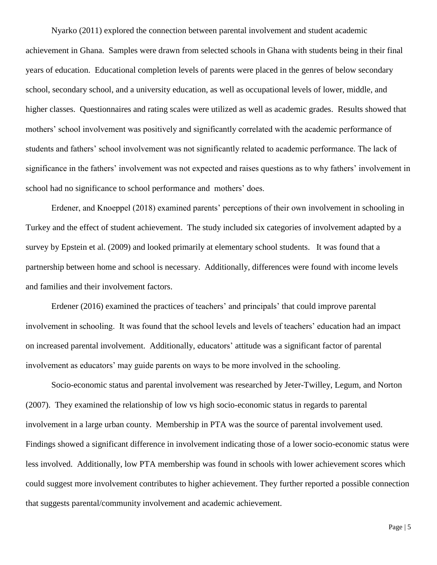Nyarko (2011) explored the connection between parental involvement and student academic achievement in Ghana. Samples were drawn from selected schools in Ghana with students being in their final years of education. Educational completion levels of parents were placed in the genres of below secondary school, secondary school, and a university education, as well as occupational levels of lower, middle, and higher classes. Questionnaires and rating scales were utilized as well as academic grades. Results showed that mothers' school involvement was positively and significantly correlated with the academic performance of students and fathers' school involvement was not significantly related to academic performance. The lack of significance in the fathers' involvement was not expected and raises questions as to why fathers' involvement in school had no significance to school performance and mothers' does.

Erdener, and Knoeppel (2018) examined parents' perceptions of their own involvement in schooling in Turkey and the effect of student achievement. The study included six categories of involvement adapted by a survey by Epstein et al. (2009) and looked primarily at elementary school students. It was found that a partnership between home and school is necessary. Additionally, differences were found with income levels and families and their involvement factors.

Erdener (2016) examined the practices of teachers' and principals' that could improve parental involvement in schooling. It was found that the school levels and levels of teachers' education had an impact on increased parental involvement. Additionally, educators' attitude was a significant factor of parental involvement as educators' may guide parents on ways to be more involved in the schooling.

Socio-economic status and parental involvement was researched by Jeter-Twilley, Legum, and Norton (2007). They examined the relationship of low vs high socio-economic status in regards to parental involvement in a large urban county. Membership in PTA was the source of parental involvement used. Findings showed a significant difference in involvement indicating those of a lower socio-economic status were less involved. Additionally, low PTA membership was found in schools with lower achievement scores which could suggest more involvement contributes to higher achievement. They further reported a possible connection that suggests parental/community involvement and academic achievement.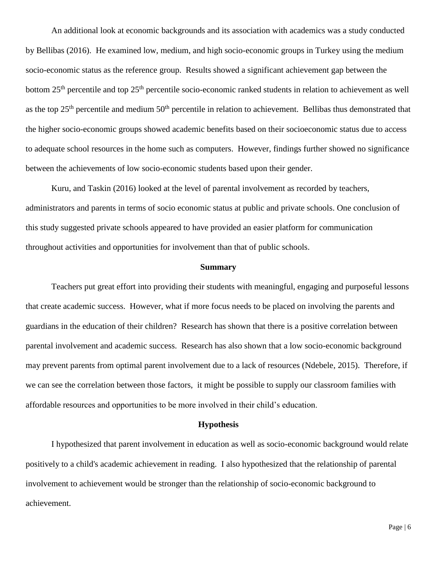An additional look at economic backgrounds and its association with academics was a study conducted by Bellibas (2016). He examined low, medium, and high socio-economic groups in Turkey using the medium socio-economic status as the reference group. Results showed a significant achievement gap between the bottom 25<sup>th</sup> percentile and top 25<sup>th</sup> percentile socio-economic ranked students in relation to achievement as well as the top  $25<sup>th</sup>$  percentile and medium  $50<sup>th</sup>$  percentile in relation to achievement. Bellibas thus demonstrated that the higher socio-economic groups showed academic benefits based on their socioeconomic status due to access to adequate school resources in the home such as computers. However, findings further showed no significance between the achievements of low socio-economic students based upon their gender.

Kuru, and Taskin (2016) looked at the level of parental involvement as recorded by teachers, administrators and parents in terms of socio economic status at public and private schools. One conclusion of this study suggested private schools appeared to have provided an easier platform for communication throughout activities and opportunities for involvement than that of public schools.

#### **Summary**

Teachers put great effort into providing their students with meaningful, engaging and purposeful lessons that create academic success. However, what if more focus needs to be placed on involving the parents and guardians in the education of their children? Research has shown that there is a positive correlation between parental involvement and academic success. Research has also shown that a low socio-economic background may prevent parents from optimal parent involvement due to a lack of resources (Ndebele, 2015). Therefore, if we can see the correlation between those factors, it might be possible to supply our classroom families with affordable resources and opportunities to be more involved in their child's education.

#### **Hypothesis**

I hypothesized that parent involvement in education as well as socio-economic background would relate positively to a child's academic achievement in reading. I also hypothesized that the relationship of parental involvement to achievement would be stronger than the relationship of socio-economic background to achievement.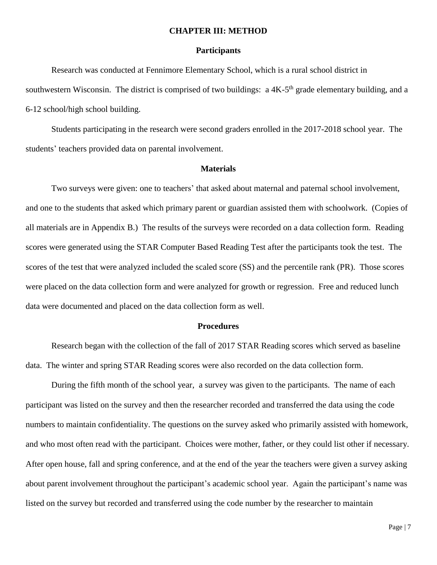#### **CHAPTER III: METHOD**

#### **Participants**

Research was conducted at Fennimore Elementary School, which is a rural school district in southwestern Wisconsin. The district is comprised of two buildings: a 4K-5<sup>th</sup> grade elementary building, and a 6-12 school/high school building.

Students participating in the research were second graders enrolled in the 2017-2018 school year. The students' teachers provided data on parental involvement.

### **Materials**

Two surveys were given: one to teachers' that asked about maternal and paternal school involvement, and one to the students that asked which primary parent or guardian assisted them with schoolwork. (Copies of all materials are in Appendix B.) The results of the surveys were recorded on a data collection form. Reading scores were generated using the STAR Computer Based Reading Test after the participants took the test. The scores of the test that were analyzed included the scaled score (SS) and the percentile rank (PR). Those scores were placed on the data collection form and were analyzed for growth or regression. Free and reduced lunch data were documented and placed on the data collection form as well.

#### **Procedures**

Research began with the collection of the fall of 2017 STAR Reading scores which served as baseline data. The winter and spring STAR Reading scores were also recorded on the data collection form.

During the fifth month of the school year, a survey was given to the participants. The name of each participant was listed on the survey and then the researcher recorded and transferred the data using the code numbers to maintain confidentiality. The questions on the survey asked who primarily assisted with homework, and who most often read with the participant. Choices were mother, father, or they could list other if necessary. After open house, fall and spring conference, and at the end of the year the teachers were given a survey asking about parent involvement throughout the participant's academic school year. Again the participant's name was listed on the survey but recorded and transferred using the code number by the researcher to maintain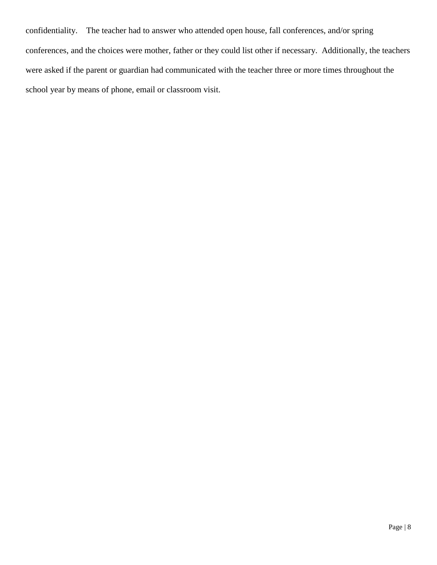confidentiality. The teacher had to answer who attended open house, fall conferences, and/or spring conferences, and the choices were mother, father or they could list other if necessary. Additionally, the teachers were asked if the parent or guardian had communicated with the teacher three or more times throughout the school year by means of phone, email or classroom visit.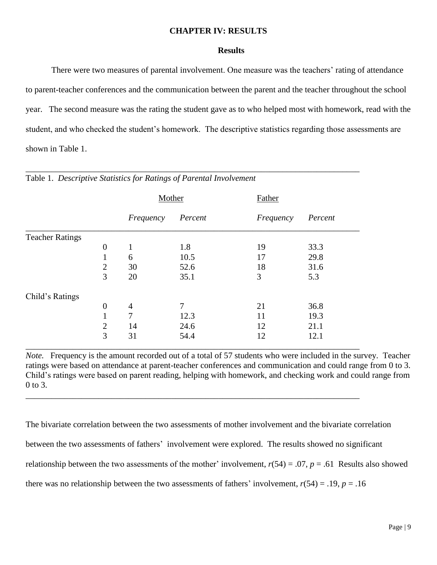### **CHAPTER IV: RESULTS**

#### **Results**

There were two measures of parental involvement. One measure was the teachers' rating of attendance to parent-teacher conferences and the communication between the parent and the teacher throughout the school year. The second measure was the rating the student gave as to who helped most with homework, read with the student, and who checked the student's homework. The descriptive statistics regarding those assessments are shown in Table 1.

|                        |                  | Mother         |                | Father    |         |
|------------------------|------------------|----------------|----------------|-----------|---------|
|                        |                  | Frequency      | Percent        | Frequency | Percent |
| <b>Teacher Ratings</b> |                  |                |                |           |         |
|                        | $\overline{0}$   | 1              | 1.8            | 19        | 33.3    |
|                        |                  | 6              | 10.5           | 17        | 29.8    |
|                        | $\mathbf{2}$     | 30             | 52.6           | 18        | 31.6    |
|                        | 3                | 20             | 35.1           | 3         | 5.3     |
| Child's Ratings        |                  |                |                |           |         |
|                        | $\boldsymbol{0}$ | $\overline{4}$ | $\overline{7}$ | 21        | 36.8    |
|                        |                  | 7              | 12.3           | 11        | 19.3    |
|                        | $\mathbf{2}$     | 14             | 24.6           | 12        | 21.1    |
|                        | 3                | 31             | 54.4           | 12        | 12.1    |

\_\_\_\_\_\_\_\_\_\_\_\_\_\_\_\_\_\_\_\_\_\_\_\_\_\_\_\_\_\_\_\_\_\_\_\_\_\_\_\_\_\_\_\_\_\_\_\_\_\_\_\_\_\_\_\_\_\_\_\_\_\_\_\_\_\_\_\_\_\_\_\_\_\_\_\_\_\_

\_\_\_\_\_\_\_\_\_\_\_\_\_\_\_\_\_\_\_\_\_\_\_\_\_\_\_\_\_\_\_\_\_\_\_\_\_\_\_\_\_\_\_\_\_\_\_\_\_\_\_\_\_\_\_\_\_\_\_\_\_\_\_\_\_\_\_\_\_\_\_\_\_\_\_\_\_\_

Table 1. *Descriptive Statistics for Ratings of Parental Involvement*

*Note.* Frequency is the amount recorded out of a total of 57 students who were included in the survey. Teacher ratings were based on attendance at parent-teacher conferences and communication and could range from 0 to 3. Child's ratings were based on parent reading, helping with homework, and checking work and could range from 0 to 3.

The bivariate correlation between the two assessments of mother involvement and the bivariate correlation between the two assessments of fathers' involvement were explored. The results showed no significant relationship between the two assessments of the mother' involvement,  $r(54) = .07$ ,  $p = .61$  Results also showed there was no relationship between the two assessments of fathers' involvement,  $r(54) = .19$ ,  $p = .16$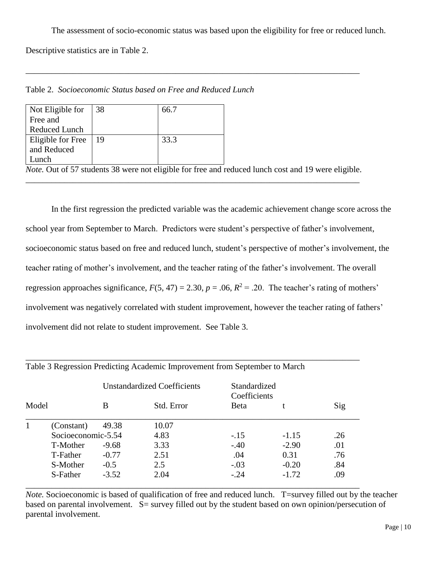The assessment of socio-economic status was based upon the eligibility for free or reduced lunch.

Descriptive statistics are in Table 2.

| Not Eligible for     | 38 | 66.7 |
|----------------------|----|------|
| Free and             |    |      |
| <b>Reduced Lunch</b> |    |      |
| Eligible for Free    | 19 | 33.3 |
| and Reduced          |    |      |
| unch                 |    |      |

Table 2. *Socioeconomic Status based on Free and Reduced Lunch*

*Note.* Out of 57 students 38 were not eligible for free and reduced lunch cost and 19 were eligible. \_\_\_\_\_\_\_\_\_\_\_\_\_\_\_\_\_\_\_\_\_\_\_\_\_\_\_\_\_\_\_\_\_\_\_\_\_\_\_\_\_\_\_\_\_\_\_\_\_\_\_\_\_\_\_\_\_\_\_\_\_\_\_\_\_\_\_\_\_\_\_\_\_\_\_\_\_\_

\_\_\_\_\_\_\_\_\_\_\_\_\_\_\_\_\_\_\_\_\_\_\_\_\_\_\_\_\_\_\_\_\_\_\_\_\_\_\_\_\_\_\_\_\_\_\_\_\_\_\_\_\_\_\_\_\_\_\_\_\_\_\_\_\_\_\_\_\_\_\_\_\_\_\_\_\_\_

In the first regression the predicted variable was the academic achievement change score across the school year from September to March. Predictors were student's perspective of father's involvement, socioeconomic status based on free and reduced lunch, student's perspective of mother's involvement, the teacher rating of mother's involvement, and the teacher rating of the father's involvement. The overall regression approaches significance,  $F(5, 47) = 2.30$ ,  $p = .06$ ,  $R^2 = .20$ . The teacher's rating of mothers' involvement was negatively correlated with student improvement, however the teacher rating of fathers' involvement did not relate to student improvement. See Table 3.

|       |                    |         | <b>Unstandardized Coefficients</b> | Standardized<br>Coefficients |         |     |
|-------|--------------------|---------|------------------------------------|------------------------------|---------|-----|
| Model |                    | В       | Std. Error                         | Beta                         |         | Sig |
|       | (Constant)         | 49.38   | 10.07                              |                              |         |     |
|       | Socioeconomic-5.54 |         | 4.83                               | $-.15$                       | $-1.15$ | .26 |
|       | T-Mother           | $-9.68$ | 3.33                               | $-.40$                       | $-2.90$ | .01 |
|       | T-Father           | $-0.77$ | 2.51                               | .04                          | 0.31    | .76 |
|       | S-Mother           | $-0.5$  | 2.5                                | $-.03$                       | $-0.20$ | .84 |
|       | S-Father           | $-3.52$ | 2.04                               | $-.24$                       | $-1.72$ | .09 |

\_\_\_\_\_\_\_\_\_\_\_\_\_\_\_\_\_\_\_\_\_\_\_\_\_\_\_\_\_\_\_\_\_\_\_\_\_\_\_\_\_\_\_\_\_\_\_\_\_\_\_\_\_\_\_\_\_\_\_\_\_\_\_\_\_\_\_\_\_\_\_\_\_\_\_\_\_\_

## Table 3 Regression Predicting Academic Improvement from September to March

*Note.* Socioeconomic is based of qualification of free and reduced lunch. T=survey filled out by the teacher based on parental involvement. S= survey filled out by the student based on own opinion/persecution of parental involvement.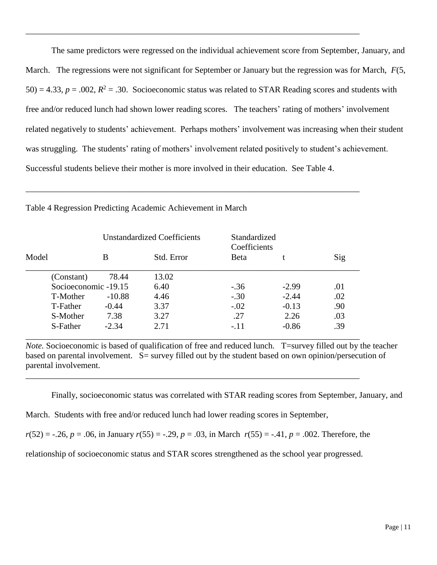The same predictors were regressed on the individual achievement score from September, January, and March. The regressions were not significant for September or January but the regression was for March, *F*(5,  $50$ ) = 4.33,  $p = .002$ ,  $R^2 = .30$ . Socioeconomic status was related to STAR Reading scores and students with free and/or reduced lunch had shown lower reading scores. The teachers' rating of mothers' involvement related negatively to students' achievement. Perhaps mothers' involvement was increasing when their student was struggling. The students' rating of mothers' involvement related positively to student's achievement. Successful students believe their mother is more involved in their education. See Table 4.

\_\_\_\_\_\_\_\_\_\_\_\_\_\_\_\_\_\_\_\_\_\_\_\_\_\_\_\_\_\_\_\_\_\_\_\_\_\_\_\_\_\_\_\_\_\_\_\_\_\_\_\_\_\_\_\_\_\_\_\_\_\_\_\_\_\_\_\_\_\_\_\_\_\_\_\_\_\_

|       |                      | <b>Unstandardized Coefficients</b> |            | Standardized<br>Coefficients |         |     |
|-------|----------------------|------------------------------------|------------|------------------------------|---------|-----|
| Model |                      | В                                  | Std. Error | <b>Beta</b>                  |         | Sig |
|       | (Constant)           | 78.44                              | 13.02      |                              |         |     |
|       | Socioeconomic -19.15 |                                    | 6.40       | $-.36$                       | $-2.99$ | .01 |
|       | T-Mother             | $-10.88$                           | 4.46       | $-.30$                       | $-2.44$ | .02 |
|       | T-Father             | $-0.44$                            | 3.37       | $-.02$                       | $-0.13$ | .90 |
|       | S-Mother             | 7.38                               | 3.27       | .27                          | 2.26    | .03 |
|       | S-Father             | $-2.34$                            | 2.71       | $-.11$                       | $-0.86$ | .39 |
|       |                      |                                    |            |                              |         |     |

\_\_\_\_\_\_\_\_\_\_\_\_\_\_\_\_\_\_\_\_\_\_\_\_\_\_\_\_\_\_\_\_\_\_\_\_\_\_\_\_\_\_\_\_\_\_\_\_\_\_\_\_\_\_\_\_\_\_\_\_\_\_\_\_\_\_\_\_\_\_\_\_\_\_\_\_\_\_

\_\_\_\_\_\_\_\_\_\_\_\_\_\_\_\_\_\_\_\_\_\_\_\_\_\_\_\_\_\_\_\_\_\_\_\_\_\_\_\_\_\_\_\_\_\_\_\_\_\_\_\_\_\_\_\_\_\_\_\_\_\_\_\_\_\_\_\_\_\_\_\_\_\_\_\_\_\_

\_\_\_\_\_\_\_\_\_\_\_\_\_\_\_\_\_\_\_\_\_\_\_\_\_\_\_\_\_\_\_\_\_\_\_\_\_\_\_\_\_\_\_\_\_\_\_\_\_\_\_\_\_\_\_\_\_\_\_\_\_\_\_\_\_\_\_\_\_\_\_\_\_\_\_\_\_\_

Table 4 Regression Predicting Academic Achievement in March

*Note.* Socioeconomic is based of qualification of free and reduced lunch. T=survey filled out by the teacher based on parental involvement. S= survey filled out by the student based on own opinion/persecution of parental involvement.

Finally, socioeconomic status was correlated with STAR reading scores from September, January, and

March. Students with free and/or reduced lunch had lower reading scores in September,

 $r(52) = -0.26$ ,  $p = 0.06$ , in January  $r(55) = -0.29$ ,  $p = 0.03$ , in March  $r(55) = -0.41$ ,  $p = 0.002$ . Therefore, the

relationship of socioeconomic status and STAR scores strengthened as the school year progressed.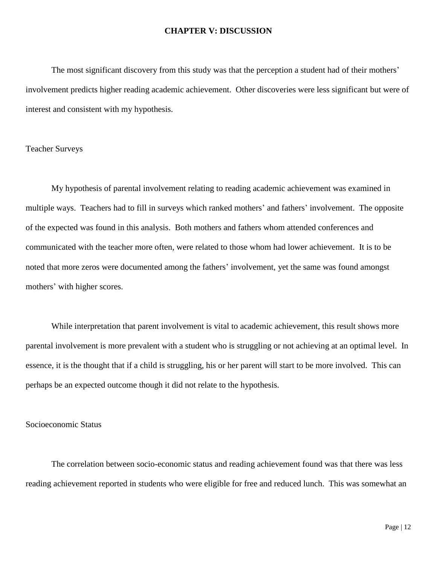#### **CHAPTER V: DISCUSSION**

The most significant discovery from this study was that the perception a student had of their mothers' involvement predicts higher reading academic achievement. Other discoveries were less significant but were of interest and consistent with my hypothesis.

### Teacher Surveys

My hypothesis of parental involvement relating to reading academic achievement was examined in multiple ways. Teachers had to fill in surveys which ranked mothers' and fathers' involvement. The opposite of the expected was found in this analysis. Both mothers and fathers whom attended conferences and communicated with the teacher more often, were related to those whom had lower achievement. It is to be noted that more zeros were documented among the fathers' involvement, yet the same was found amongst mothers' with higher scores.

While interpretation that parent involvement is vital to academic achievement, this result shows more parental involvement is more prevalent with a student who is struggling or not achieving at an optimal level. In essence, it is the thought that if a child is struggling, his or her parent will start to be more involved. This can perhaps be an expected outcome though it did not relate to the hypothesis.

## Socioeconomic Status

The correlation between socio-economic status and reading achievement found was that there was less reading achievement reported in students who were eligible for free and reduced lunch. This was somewhat an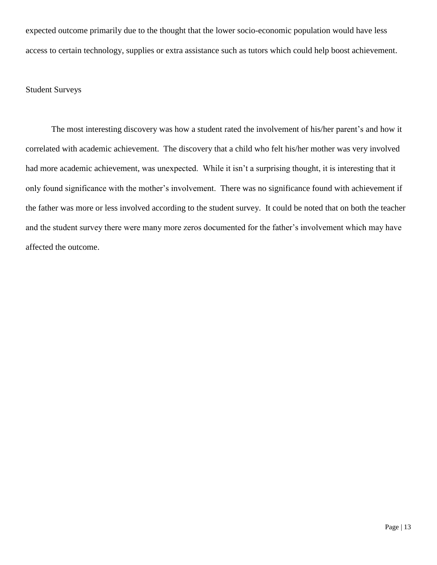expected outcome primarily due to the thought that the lower socio-economic population would have less access to certain technology, supplies or extra assistance such as tutors which could help boost achievement.

### Student Surveys

The most interesting discovery was how a student rated the involvement of his/her parent's and how it correlated with academic achievement. The discovery that a child who felt his/her mother was very involved had more academic achievement, was unexpected. While it isn't a surprising thought, it is interesting that it only found significance with the mother's involvement. There was no significance found with achievement if the father was more or less involved according to the student survey. It could be noted that on both the teacher and the student survey there were many more zeros documented for the father's involvement which may have affected the outcome.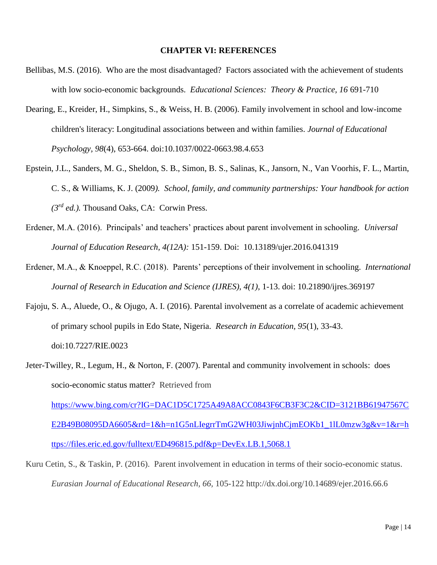#### **CHAPTER VI: REFERENCES**

- Bellibas, M.S. (2016). Who are the most disadvantaged? Factors associated with the achievement of students with low socio-economic backgrounds. *Educational Sciences: Theory & Practice, 16* 691-710
- Dearing, E., Kreider, H., Simpkins, S., & Weiss, H. B. (2006). Family involvement in school and low-income children's literacy: Longitudinal associations between and within families. *Journal of Educational Psychology, 98*(4), 653-664. doi:10.1037/0022-0663.98.4.653
- Epstein, J.L., Sanders, M. G., Sheldon, S. B., Simon, B. S., Salinas, K., Jansorn, N., Van Voorhis, F. L., Martin, C. S., & Williams, K. J. (2009*). School, family, and community partnerships: Your handbook for action (3rd ed.).* Thousand Oaks, CA: Corwin Press.
- Erdener, M.A. (2016). Principals' and teachers' practices about parent involvement in schooling*. Universal Journal of Education Research, 4(12A):* 151-159. Doi: 10.13189/ujer.2016.041319
- Erdener, M.A., & Knoeppel, R.C. (2018). Parents' perceptions of their involvement in schooling. *International Journal of Research in Education and Science (IJRES), 4(1)*, 1-13. doi: 10.21890/ijres.369197
- Fajoju, S. A., Aluede, O., & Ojugo, A. I. (2016). Parental involvement as a correlate of academic achievement of primary school pupils in Edo State, Nigeria. *Research in Education, 95*(1), 33-43. doi:10.7227/RIE.0023
- Jeter-Twilley, R., Legum, H., & Norton, F. (2007). Parental and community involvement in schools: does socio-economic status matter? Retrieved from [https://www.bing.com/cr?IG=DAC1D5C1725A49A8ACC0843F6CB3F3C2&CID=3121BB61947567C](https://www.bing.com/cr?IG=DAC1D5C1725A49A8ACC0843F6CB3F3C2&CID=3121BB61947567CE2B49B08095DA6605&rd=1&h=n1G5nLIegrrTmG2WH03JiwjnhCjmEOKb1_1lL0mzw3g&v=1&r=https://files.eric.ed.gov/fulltext/ED496815.pdf&p=DevEx.LB.1,5068.1)

[E2B49B08095DA6605&rd=1&h=n1G5nLIegrrTmG2WH03JiwjnhCjmEOKb1\\_1lL0mzw3g&v=1&r=h](https://www.bing.com/cr?IG=DAC1D5C1725A49A8ACC0843F6CB3F3C2&CID=3121BB61947567CE2B49B08095DA6605&rd=1&h=n1G5nLIegrrTmG2WH03JiwjnhCjmEOKb1_1lL0mzw3g&v=1&r=https://files.eric.ed.gov/fulltext/ED496815.pdf&p=DevEx.LB.1,5068.1) [ttps://files.eric.ed.gov/fulltext/ED496815.pdf&p=DevEx.LB.1,5068.1](https://www.bing.com/cr?IG=DAC1D5C1725A49A8ACC0843F6CB3F3C2&CID=3121BB61947567CE2B49B08095DA6605&rd=1&h=n1G5nLIegrrTmG2WH03JiwjnhCjmEOKb1_1lL0mzw3g&v=1&r=https://files.eric.ed.gov/fulltext/ED496815.pdf&p=DevEx.LB.1,5068.1)

Kuru Cetin, S., & Taskin, P. (2016). Parent involvement in education in terms of their socio-economic status. *Eurasian Journal of Educational Research, 66,* 105-122 http://dx.doi.org/10.14689/ejer.2016.66.6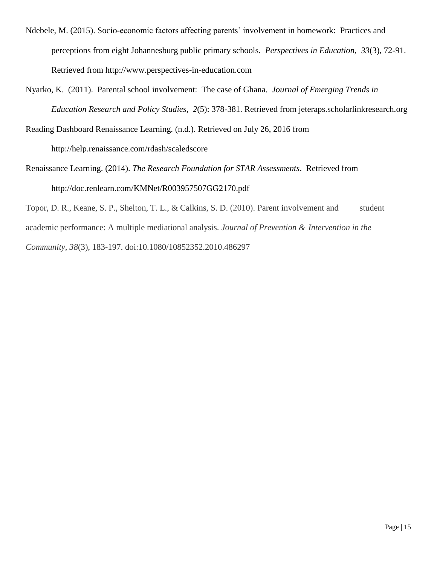- Ndebele, M. (2015). Socio-economic factors affecting parents' involvement in homework: Practices and perceptions from eight Johannesburg public primary schools. *Perspectives in Education, 33*(3), 72-91. Retrieved from http://www.perspectives-in-education.com
- Nyarko, K. (2011). Parental school involvement: The case of Ghana. *Journal of Emerging Trends in Education Research and Policy Studies, 2*(5): 378-381. Retrieved from jeteraps.scholarlinkresearch.org

Reading Dashboard Renaissance Learning. (n.d.). Retrieved on July 26, 2016 from

http://help.renaissance.com/rdash/scaledscore

Renaissance Learning. (2014). *The Research Foundation for STAR Assessments*. Retrieved from http://doc.renlearn.com/KMNet/R003957507GG2170.pdf

Topor, D. R., Keane, S. P., Shelton, T. L., & Calkins, S. D. (2010). Parent involvement and student academic performance: A multiple mediational analysis. *Journal of Prevention & Intervention in the Community, 38*(3), 183-197. doi:10.1080/10852352.2010.486297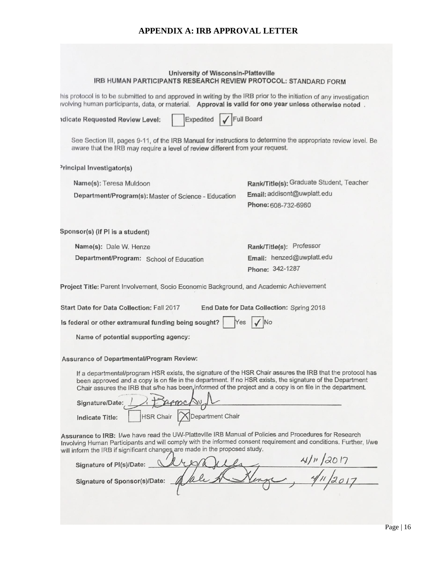## **APPENDIX A: IRB APPROVAL LETTER**

| University of Wisconsin-Platteville<br>IRB HUMAN PARTICIPANTS RESEARCH REVIEW PROTOCOL: STANDARD FORM                                                                                                                                                                                                                                                                |                                                    |
|----------------------------------------------------------------------------------------------------------------------------------------------------------------------------------------------------------------------------------------------------------------------------------------------------------------------------------------------------------------------|----------------------------------------------------|
| his protocol is to be submitted to and approved in writing by the IRB prior to the initiation of any investigation<br>ivolving human participants, data, or material. Approval is valid for one year unless otherwise noted.                                                                                                                                         |                                                    |
| Expedited √ Full Board<br><b>Idicate Requested Review Level:</b>                                                                                                                                                                                                                                                                                                     |                                                    |
| See Section III, pages 9-11, of the IRB Manual for instructions to determine the appropriate review level. Be<br>aware that the IRB may require a level of review different from your request.                                                                                                                                                                       |                                                    |
| <sup>3</sup> rincipal Investigator(s)                                                                                                                                                                                                                                                                                                                                |                                                    |
| Name(s): Teresa Muldoon                                                                                                                                                                                                                                                                                                                                              | Rank/Title(s); Graduate Student, Teacher           |
| Department/Program(s): Master of Science - Education                                                                                                                                                                                                                                                                                                                 | Email: addisont@uwplatt.edu<br>Phone: 608-732-6960 |
| Sponsor(s) (if PI is a student)                                                                                                                                                                                                                                                                                                                                      |                                                    |
| Name(s): Dale W. Henze                                                                                                                                                                                                                                                                                                                                               | Rank/Title(s): Professor                           |
| Department/Program: School of Education                                                                                                                                                                                                                                                                                                                              | Email: henzed@uwplatt.edu                          |
|                                                                                                                                                                                                                                                                                                                                                                      | Phone: 342-1287                                    |
| Project Title: Parent Involvement, Socio Economic Background, and Academic Achievement                                                                                                                                                                                                                                                                               |                                                    |
| Start Date for Data Collection: Fall 2017                                                                                                                                                                                                                                                                                                                            | End Date for Data Collection: Spring 2018          |
| Is federal or other extramural funding being sought?<br>Yes                                                                                                                                                                                                                                                                                                          |                                                    |
| Name of potential supporting agency:                                                                                                                                                                                                                                                                                                                                 |                                                    |
| Assurance of Departmental/Program Review:                                                                                                                                                                                                                                                                                                                            |                                                    |
| If a departmental/program HSR exists, the signature of the HSR Chair assures the IRB that the protocol has<br>been approved and a copy is on file in the department. If no HSR exists, the signature of the Department<br>Chair assures the IRB that s/he has been informed of the project and a copy is on file in the department.<br>1 Francisu<br>Signature/Date: |                                                    |
| <b>HSR Chair</b><br>Department Chair<br>Indicate Title:                                                                                                                                                                                                                                                                                                              |                                                    |
| Assurance to IRB: I/we have read the UW-Platteville IRB Manual of Policies and Procedures for Research<br>Involving Human Participants and will comply with the informed consent requirement and conditions. Further, I/we<br>will inform the IRB if significant changes are made in the proposed study.                                                             |                                                    |
| Signature of PI(s)/Date:                                                                                                                                                                                                                                                                                                                                             | 41/11/2017                                         |
| Signature of Sponsor(s)/Date:                                                                                                                                                                                                                                                                                                                                        |                                                    |
|                                                                                                                                                                                                                                                                                                                                                                      |                                                    |
|                                                                                                                                                                                                                                                                                                                                                                      |                                                    |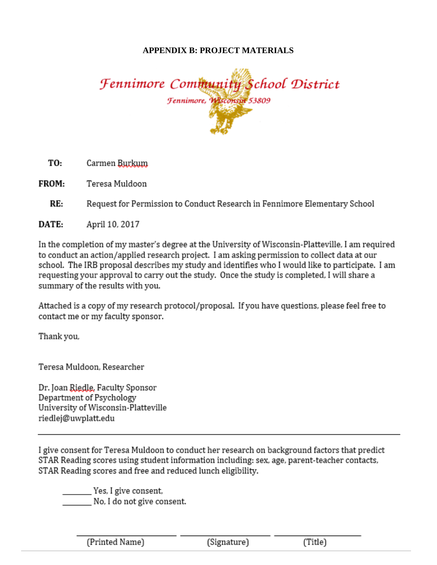## **APPENDIX B: PROJECT MATERIALS**

Fennimore Community School District Fennimore, Wisconsin 53809

TO: Carmen Burkum

FROM: Teresa Muldoon

 $RE:$ Request for Permission to Conduct Research in Fennimore Elementary School

DATE: April 10, 2017

In the completion of my master's degree at the University of Wisconsin-Platteville, I am required to conduct an action/applied research project. I am asking permission to collect data at our school. The IRB proposal describes my study and identifies who I would like to participate. I am requesting your approval to carry out the study. Once the study is completed, I will share a summary of the results with you.

Attached is a copy of my research protocol/proposal. If you have questions, please feel free to contact me or my faculty sponsor.

Thank you,

Teresa Muldoon, Researcher

Dr. Joan Riedle, Faculty Sponsor Department of Psychology University of Wisconsin-Platteville riedlej@uwplatt.edu

I give consent for Teresa Muldoon to conduct her research on background factors that predict STAR Reading scores using student information including: sex, age, parent-teacher contacts, STAR Reading scores and free and reduced lunch eligibility.

Yes, I give consent, No, I do not give consent.

| (Printed Name) | <br>'Signature' |     |
|----------------|-----------------|-----|
|                |                 | nue |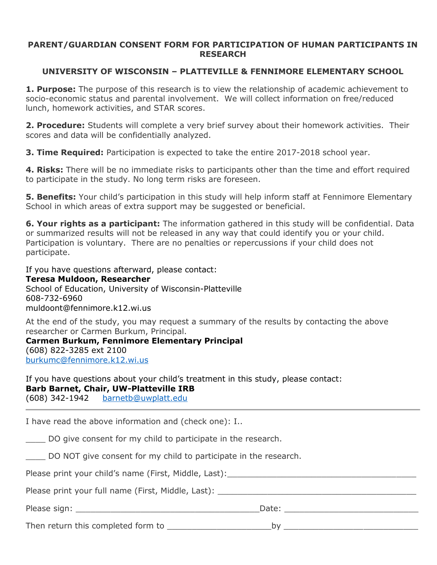## **PARENT/GUARDIAN CONSENT FORM FOR PARTICIPATION OF HUMAN PARTICIPANTS IN RESEARCH**

# **UNIVERSITY OF WISCONSIN – PLATTEVILLE & FENNIMORE ELEMENTARY SCHOOL**

**1. Purpose:** The purpose of this research is to view the relationship of academic achievement to socio-economic status and parental involvement. We will collect information on free/reduced lunch, homework activities, and STAR scores.

**2. Procedure:** Students will complete a very brief survey about their homework activities. Their scores and data will be confidentially analyzed.

**3. Time Required:** Participation is expected to take the entire 2017-2018 school year.

**4. Risks:** There will be no immediate risks to participants other than the time and effort required to participate in the study. No long term risks are foreseen.

**5. Benefits:** Your child's participation in this study will help inform staff at Fennimore Elementary School in which areas of extra support may be suggested or beneficial.

**6. Your rights as a participant:** The information gathered in this study will be confidential. Data or summarized results will not be released in any way that could identify you or your child. Participation is voluntary. There are no penalties or repercussions if your child does not participate.

If you have questions afterward, please contact: **Teresa Muldoon, Researcher** School of Education, University of Wisconsin-Platteville 608-732-6960 muldoont@fennimore.k12.wi.us

At the end of the study, you may request a summary of the results by contacting the above researcher or Carmen Burkum, Principal.

**Carmen Burkum, Fennimore Elementary Principal** (608) 822-3285 ext 2100 burkumc@fennimore.k12.wi.us

If you have questions about your child's treatment in this study, please contact: **Barb Barnet, Chair, UW-Platteville IRB** (608) 342-1942 barnetb@uwplatt.edu

I have read the above information and (check one): I..

DO give consent for my child to participate in the research.

DO NOT give consent for my child to participate in the research.

Please print your child's name (First, Middle, Last):

Please print your full name (First, Middle, Last): \_\_\_\_\_\_\_\_\_\_\_\_\_\_\_\_\_\_\_\_\_\_\_\_\_\_\_\_\_

Please sign: \_\_\_\_\_\_\_\_\_\_\_\_\_\_\_\_\_\_\_\_\_\_\_\_\_\_\_\_\_\_\_\_\_\_\_\_\_Date: \_\_\_\_\_\_\_\_\_\_\_\_\_\_\_\_\_\_\_\_\_\_\_\_\_\_\_

Then return this completed form to example the state of the by the state of the state of the state of the state of the state of the state of the state of the state of the state of the state of the state of the state of the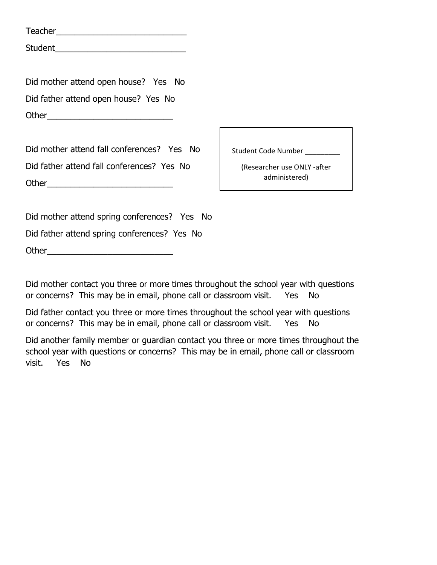| Teacher |  |  |  |
|---------|--|--|--|
| Student |  |  |  |

Did mother attend open house? Yes No Did father attend open house? Yes No Other\_\_\_\_\_\_\_\_\_\_\_\_\_\_\_\_\_\_\_\_\_\_\_\_\_\_\_

Did mother attend fall conferences? Yes No Did father attend fall conferences? Yes No Other\_\_\_\_\_\_\_\_\_\_\_\_\_\_\_\_\_\_\_\_\_\_\_\_\_\_\_

Student Code Number

(Researcher use ONLY -after administered)

Did mother attend spring conferences? Yes No Did father attend spring conferences? Yes No Other\_\_\_\_\_\_\_\_\_\_\_\_\_\_\_\_\_\_\_\_\_\_\_\_\_\_\_

Did mother contact you three or more times throughout the school year with questions or concerns? This may be in email, phone call or classroom visit. Yes No

Did father contact you three or more times throughout the school year with questions or concerns? This may be in email, phone call or classroom visit. Yes No

Did another family member or guardian contact you three or more times throughout the school year with questions or concerns? This may be in email, phone call or classroom visit. Yes No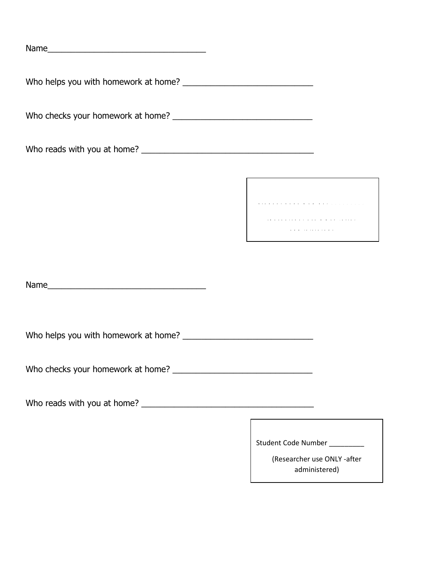Name\_\_\_\_\_\_\_\_\_\_\_\_\_\_\_\_\_\_\_\_\_\_\_\_\_\_\_\_\_\_\_\_\_\_

Who helps you with homework at home? \_\_\_\_\_\_\_\_\_\_\_\_\_\_\_\_\_\_\_\_\_\_\_\_\_\_\_\_

Who checks your homework at home? \_\_\_\_\_\_\_\_\_\_\_\_\_\_\_\_\_\_\_\_\_\_\_\_\_\_\_\_\_\_

Who reads with you at home? \_\_\_\_\_\_\_\_\_\_\_\_\_\_\_\_\_\_\_\_\_\_\_\_\_\_\_\_\_\_\_\_\_\_\_\_\_

**S t u d e n t C o d e N u m b e r \_ \_ \_ \_ \_ \_ \_ \_ \_**

**( R e s e a r c h e r u s e O N L Y - a f t e r** 

**a d m i n i s t e r e d )**

Name\_\_\_\_\_\_\_\_\_\_\_\_\_\_\_\_\_\_\_\_\_\_\_\_\_\_\_\_\_\_\_\_\_\_

Who helps you with homework at home? \_\_\_\_\_\_\_\_\_\_\_\_\_\_\_\_\_\_\_\_\_\_\_\_\_\_\_\_

Who checks your homework at home? \_\_\_\_\_\_\_\_\_\_\_\_\_\_\_\_\_\_\_\_\_\_\_\_\_\_\_\_\_\_

Who reads with you at home? \_\_\_\_\_\_\_\_\_\_\_\_\_\_\_\_\_\_\_\_\_\_\_\_\_\_\_\_\_\_\_\_\_\_\_\_\_

Student Code Number \_\_\_\_\_\_\_\_\_

(Researcher use ONLY -after administered)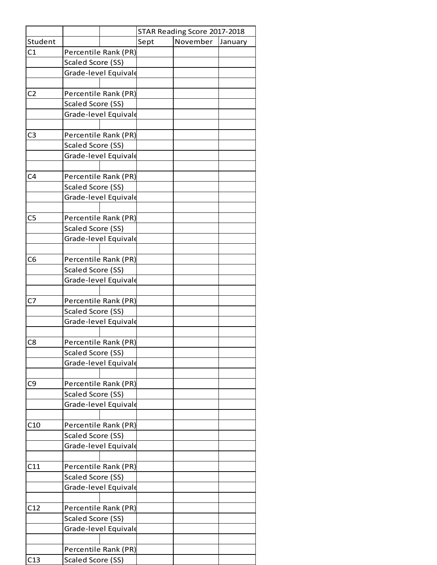|                | STAR Reading Score 2017-2018 |      |          |         |  |
|----------------|------------------------------|------|----------|---------|--|
| Student        |                              | Sept | November | January |  |
| C1             | Percentile Rank (PR)         |      |          |         |  |
|                | Scaled Score (SS)            |      |          |         |  |
|                | Grade-level Equivale         |      |          |         |  |
|                |                              |      |          |         |  |
| C <sub>2</sub> | Percentile Rank (PR)         |      |          |         |  |
|                | <b>Scaled Score (SS)</b>     |      |          |         |  |
|                | Grade-level Equivale         |      |          |         |  |
|                |                              |      |          |         |  |
| C <sub>3</sub> | Percentile Rank (PR)         |      |          |         |  |
|                | Scaled Score (SS)            |      |          |         |  |
|                | Grade-level Equivale         |      |          |         |  |
|                |                              |      |          |         |  |
| C4             | Percentile Rank (PR)         |      |          |         |  |
|                | Scaled Score (SS)            |      |          |         |  |
|                | Grade-level Equivale         |      |          |         |  |
|                |                              |      |          |         |  |
| C <sub>5</sub> | Percentile Rank (PR)         |      |          |         |  |
|                | Scaled Score (SS)            |      |          |         |  |
|                | Grade-level Equivale         |      |          |         |  |
|                |                              |      |          |         |  |
| C <sub>6</sub> | Percentile Rank (PR)         |      |          |         |  |
|                | Scaled Score (SS)            |      |          |         |  |
|                | Grade-level Equivale         |      |          |         |  |
|                |                              |      |          |         |  |
| C7             | Percentile Rank (PR)         |      |          |         |  |
|                | Scaled Score (SS)            |      |          |         |  |
|                | Grade-level Equivale         |      |          |         |  |
|                |                              |      |          |         |  |
| C8             | Percentile Rank (PR)         |      |          |         |  |
|                | Scaled Score (SS)            |      |          |         |  |
|                | Grade-level Equivale         |      |          |         |  |
|                |                              |      |          |         |  |
| C <sub>9</sub> | Percentile Rank (PR)         |      |          |         |  |
|                | Scaled Score (SS)            |      |          |         |  |
|                | Grade-level Equivale         |      |          |         |  |
|                |                              |      |          |         |  |
| C10            | Percentile Rank (PR)         |      |          |         |  |
|                | Scaled Score (SS)            |      |          |         |  |
|                | Grade-level Equivale         |      |          |         |  |
|                |                              |      |          |         |  |
| C11            | Percentile Rank (PR)         |      |          |         |  |
|                | Scaled Score (SS)            |      |          |         |  |
|                | Grade-level Equivale         |      |          |         |  |
|                |                              |      |          |         |  |
| C12            | Percentile Rank (PR)         |      |          |         |  |
|                | Scaled Score (SS)            |      |          |         |  |
|                | Grade-level Equivale         |      |          |         |  |
|                |                              |      |          |         |  |
|                | Percentile Rank (PR)         |      |          |         |  |
| C13            | Scaled Score (SS)            |      |          |         |  |